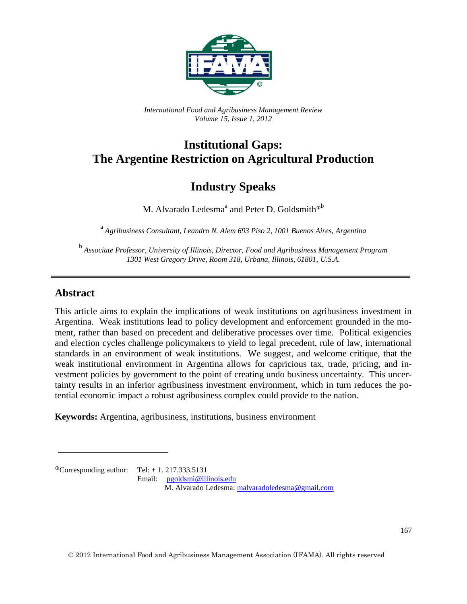

*International Food and Agribusiness Management Review Volume 15, Issue 1, 2012*

# **Institutional Gaps: The Argentine Restriction on Agricultural Production**

## **Industry Speaks**

M. Alvarado Ledesma<sup>a</sup> and Peter D. Goldsmith<sup>®b</sup>

<sup>a</sup> Agribusiness Consultant, Leandro N. Alem 693 Piso 2, 1001 Buenos Aires, Argentina

b *Associate Professor, University of Illinois, Director, Food and Agribusiness Management Program 1301 West Gregory Drive, Room 318, Urbana, Illinois, 61801, U.S.A.*

#### **Abstract**

This article aims to explain the implications of weak institutions on agribusiness investment in Argentina. Weak institutions lead to policy development and enforcement grounded in the moment, rather than based on precedent and deliberative processes over time. Political exigencies and election cycles challenge policymakers to yield to legal precedent, rule of law, international standards in an environment of weak institutions. We suggest, and welcome critique, that the weak institutional environment in Argentina allows for capricious tax, trade, pricing, and investment policies by government to the point of creating undo business uncertainty. This uncertainty results in an inferior agribusiness investment environment, which in turn reduces the potential economic impact a robust agribusiness complex could provide to the nation.

**Keywords:** Argentina, agribusiness, institutions, business environment

 $^{\circ}$ Corresponding author: Tel: + 1. 217.333.5131 Email: [pgoldsmi@illinois.edu](mailto:pgoldsmi@illinois.edu) M. Alvarado Ledesma: [malvaradoledesma@gmail.com](mailto:malvaradoledesma@gmail.com)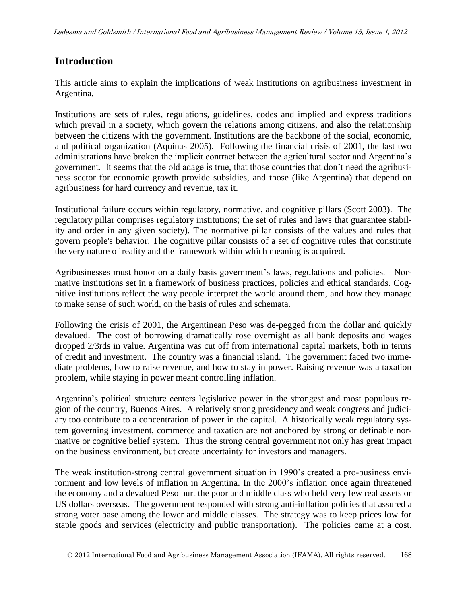#### **Introduction**

This article aims to explain the implications of weak institutions on agribusiness investment in Argentina.

Institutions are sets of rules, regulations, guidelines, codes and implied and express traditions which prevail in a society, which govern the relations among citizens, and also the relationship between the citizens with the government. Institutions are the backbone of the social, economic, and political organization (Aquinas 2005). Following the financial crisis of 2001, the last two administrations have broken the implicit contract between the agricultural sector and Argentina's government. It seems that the old adage is true, that those countries that don't need the agribusiness sector for economic growth provide subsidies, and those (like Argentina) that depend on agribusiness for hard currency and revenue, tax it.

Institutional failure occurs within regulatory, normative, and cognitive pillars (Scott 2003). The regulatory pillar comprises regulatory institutions; the set of rules and laws that guarantee stability and order in any given society). The normative pillar consists of the values and rules that govern people's behavior. The cognitive pillar consists of a set of cognitive rules that constitute the very nature of reality and the framework within which meaning is acquired.

Agribusinesses must honor on a daily basis government's laws, regulations and policies. Normative institutions set in a framework of business practices, policies and ethical standards. Cognitive institutions reflect the way people interpret the world around them, and how they manage to make sense of such world, on the basis of rules and schemata.

Following the crisis of 2001, the Argentinean Peso was de-pegged from the dollar and quickly devalued. The cost of borrowing dramatically rose overnight as all bank deposits and wages dropped 2/3rds in value. Argentina was cut off from international capital markets, both in terms of credit and investment. The country was a financial island. The government faced two immediate problems, how to raise revenue, and how to stay in power. Raising revenue was a taxation problem, while staying in power meant controlling inflation.

Argentina's political structure centers legislative power in the strongest and most populous region of the country, Buenos Aires. A relatively strong presidency and weak congress and judiciary too contribute to a concentration of power in the capital. A historically weak regulatory system governing investment, commerce and taxation are not anchored by strong or definable normative or cognitive belief system. Thus the strong central government not only has great impact on the business environment, but create uncertainty for investors and managers.

The weak institution-strong central government situation in 1990's created a pro-business environment and low levels of inflation in Argentina. In the 2000's inflation once again threatened the economy and a devalued Peso hurt the poor and middle class who held very few real assets or US dollars overseas. The government responded with strong anti-inflation policies that assured a strong voter base among the lower and middle classes. The strategy was to keep prices low for staple goods and services (electricity and public transportation). The policies came at a cost.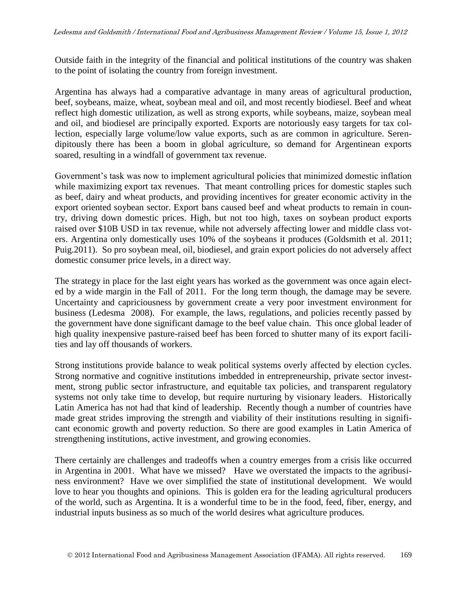Outside faith in the integrity of the financial and political institutions of the country was shaken to the point of isolating the country from foreign investment.

Argentina has always had a comparative advantage in many areas of agricultural production, beef, soybeans, maize, wheat, soybean meal and oil, and most recently biodiesel. Beef and wheat reflect high domestic utilization, as well as strong exports, while soybeans, maize, soybean meal and oil, and biodiesel are principally exported. Exports are notoriously easy targets for tax collection, especially large volume/low value exports, such as are common in agriculture. Serendipitously there has been a boom in global agriculture, so demand for Argentinean exports soared, resulting in a windfall of government tax revenue.

Government's task was now to implement agricultural policies that minimized domestic inflation while maximizing export tax revenues. That meant controlling prices for domestic staples such as beef, dairy and wheat products, and providing incentives for greater economic activity in the export oriented soybean sector. Export bans caused beef and wheat products to remain in country, driving down domestic prices. High, but not too high, taxes on soybean product exports raised over \$10B USD in tax revenue, while not adversely affecting lower and middle class voters. Argentina only domestically uses 10% of the soybeans it produces (Goldsmith et al. 2011; Puig.2011). So pro soybean meal, oil, biodiesel, and grain export policies do not adversely affect domestic consumer price levels, in a direct way.

The strategy in place for the last eight years has worked as the government was once again elected by a wide margin in the Fall of 2011. For the long term though, the damage may be severe. Uncertainty and capriciousness by government create a very poor investment environment for business (Ledesma 2008). For example, the laws, regulations, and policies recently passed by the government have done significant damage to the beef value chain. This once global leader of high quality inexpensive pasture-raised beef has been forced to shutter many of its export facilities and lay off thousands of workers.

Strong institutions provide balance to weak political systems overly affected by election cycles. Strong normative and cognitive institutions imbedded in entrepreneurship, private sector investment, strong public sector infrastructure, and equitable tax policies, and transparent regulatory systems not only take time to develop, but require nurturing by visionary leaders. Historically Latin America has not had that kind of leadership. Recently though a number of countries have made great strides improving the strength and viability of their institutions resulting in significant economic growth and poverty reduction. So there are good examples in Latin America of strengthening institutions, active investment, and growing economies.

There certainly are challenges and tradeoffs when a country emerges from a crisis like occurred in Argentina in 2001. What have we missed? Have we overstated the impacts to the agribusiness environment? Have we over simplified the state of institutional development. We would love to hear you thoughts and opinions. This is golden era for the leading agricultural producers of the world, such as Argentina. It is a wonderful time to be in the food, feed, fiber, energy, and industrial inputs business as so much of the world desires what agriculture produces.